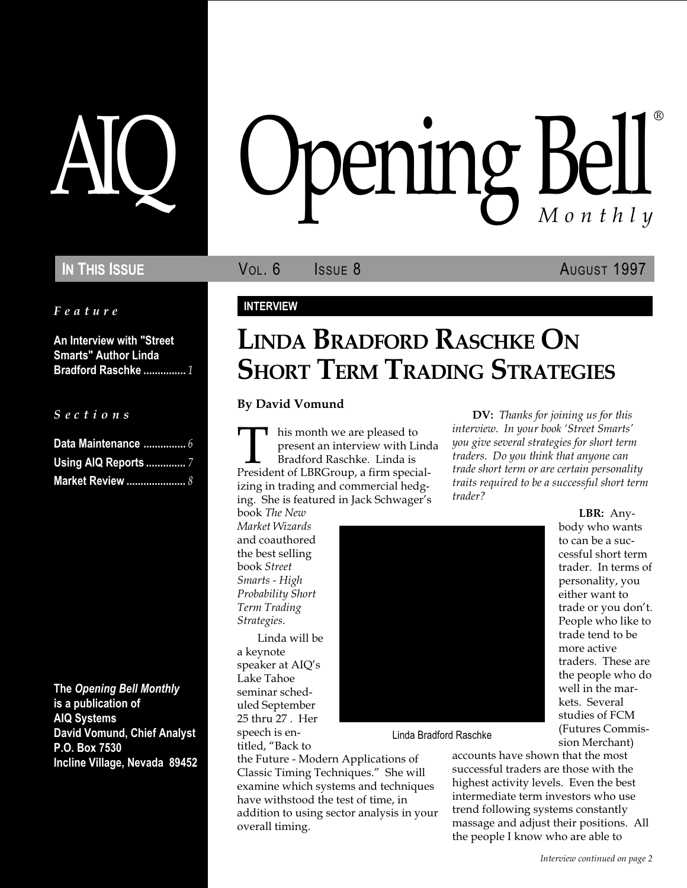Feature

An Interview with "Street Smarts" Author Linda Bradford Raschke ............... 1

S e c t i o n s

| Data Maintenance  6  |  |
|----------------------|--|
| Using AIQ Reports  7 |  |
| Market Review  8     |  |

The Opening Bell Monthly is a publication of AIQ Systems David Vomund, Chief Analyst P.O. Box 7530 Incline Village, Nevada 89452

# pening Bell ®

**IN THIS ISSUE VOL. 6** ISSUE 8 AUGUST 1997

### INTERVIEW

# LINDA BRADFORD RASCHKE ON **SHORT TERM TRADING STRATEGIES**

By David Vomund

This month we are pleased to<br>
present an interview with Lind<br>
Bradford Raschke. Linda is<br>
President of LBRGroup, a firm specialpresent an interview with Linda Bradford Raschke. Linda is izing in trading and commercial hedging. She is featured in Jack Schwager's

book The New Market Wizards and coauthored the best selling book Street Smarts - High Probability Short Term Trading Strategies.

Linda will be a keynote speaker at AIQ's Lake Tahoe seminar scheduled September 25 thru 27 . Her speech is entitled, "Back to



Linda Bradford Raschke

the Future - Modern Applications of Classic Timing Techniques." She will examine which systems and techniques have withstood the test of time, in addition to using sector analysis in your overall timing.

DV: Thanks for joining us for this interview. In your book 'Street Smarts' you give several strategies for short term traders. Do you think that anyone can trade short term or are certain personality traits required to be a successful short term trader?

> LBR: Anybody who wants to can be a successful short term trader. In terms of personality, you either want to trade or you don't. People who like to trade tend to be more active traders. These are the people who do well in the markets. Several studies of FCM (Futures Commission Merchant)

accounts have shown that the most successful traders are those with the highest activity levels. Even the best intermediate term investors who use trend following systems constantly massage and adjust their positions. All the people I know who are able to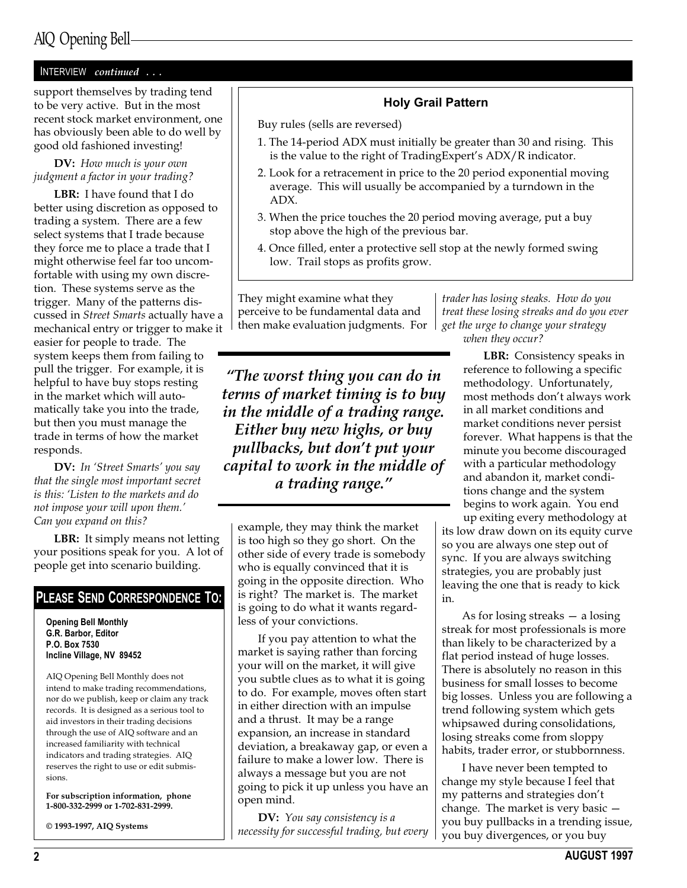#### INTERVIEW continued . . .

support themselves by trading tend to be very active. But in the most recent stock market environment, one has obviously been able to do well by good old fashioned investing!

#### DV: How much is your own judgment a factor in your trading?

LBR: I have found that I do better using discretion as opposed to trading a system. There are a few select systems that I trade because they force me to place a trade that I might otherwise feel far too uncomfortable with using my own discretion. These systems serve as the trigger. Many of the patterns discussed in Street Smarts actually have a mechanical entry or trigger to make it easier for people to trade. The system keeps them from failing to pull the trigger. For example, it is helpful to have buy stops resting in the market which will automatically take you into the trade, but then you must manage the trade in terms of how the market responds.

DV: In 'Street Smarts' you say that the single most important secret is this: Listen to the markets and do not impose your will upon them. Can you expand on this?

**LBR:** It simply means not letting your positions speak for you. A lot of people get into scenario building.

#### PLEASE SEND CORRESPONDENCE TO:

Opening Bell Monthly G.R. Barbor, Editor P.O. Box 7530 Incline Village, NV 89452

AIQ Opening Bell Monthly does not intend to make trading recommendations, nor do we publish, keep or claim any track records. It is designed as a serious tool to aid investors in their trading decisions through the use of AIQ software and an increased familiarity with technical indicators and trading strategies. AIQ reserves the right to use or edit submissions.

For subscription information, phone 1-800-332-2999 or 1-702-831-2999.

© 1993-1997, AIQ Systems

#### Holy Grail Pattern

Buy rules (sells are reversed)

- 1. The 14-period ADX must initially be greater than 30 and rising. This is the value to the right of TradingExpert's ADX/R indicator.
- 2. Look for a retracement in price to the 20 period exponential moving average. This will usually be accompanied by a turndown in the ADX.
- 3. When the price touches the 20 period moving average, put a buy stop above the high of the previous bar.
- 4. Once filled, enter a protective sell stop at the newly formed swing low. Trail stops as profits grow.

They might examine what they perceive to be fundamental data and

then make evaluation judgments. For  $\parallel$  get the urge to change your strategy trader has losing steaks. How do you treat these losing streaks and do you ever when they occur?

The worst thing you can do in terms of market timing is to buy in the middle of a trading range. Either buy new highs, or buy pullbacks, but don't put your capital to work in the middle of a trading range.

example, they may think the market is too high so they go short. On the other side of every trade is somebody who is equally convinced that it is going in the opposite direction. Who is right? The market is. The market is going to do what it wants regardless of your convictions.

If you pay attention to what the market is saying rather than forcing your will on the market, it will give you subtle clues as to what it is going to do. For example, moves often start in either direction with an impulse and a thrust. It may be a range expansion, an increase in standard deviation, a breakaway gap, or even a failure to make a lower low. There is always a message but you are not going to pick it up unless you have an open mind.

DV: You say consistency is a necessity for successful trading, but every

LBR: Consistency speaks in reference to following a specific methodology. Unfortunately, most methods don't always work in all market conditions and market conditions never persist forever. What happens is that the minute you become discouraged with a particular methodology and abandon it, market conditions change and the system begins to work again. You end up exiting every methodology at

its low draw down on its equity curve so you are always one step out of sync. If you are always switching strategies, you are probably just leaving the one that is ready to kick in.

As for losing streaks  $-$  a losing streak for most professionals is more than likely to be characterized by a flat period instead of huge losses. There is absolutely no reason in this business for small losses to become big losses. Unless you are following a trend following system which gets whipsawed during consolidations, losing streaks come from sloppy habits, trader error, or stubbornness.

I have never been tempted to change my style because I feel that my patterns and strategies don't change. The market is very basic you buy pullbacks in a trending issue, you buy divergences, or you buy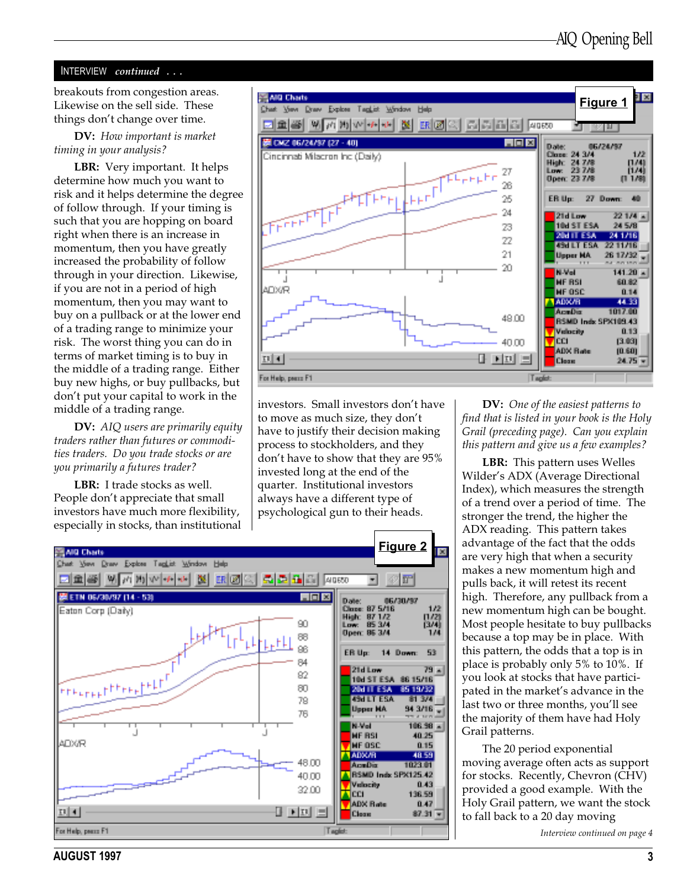#### INTERVIEW continued . . .

breakouts from congestion areas. Likewise on the sell side. These things don't change over time.

DV: How important is market timing in your analysis?

LBR: Very important. It helps determine how much you want to risk and it helps determine the degree of follow through. If your timing is such that you are hopping on board right when there is an increase in momentum, then you have greatly increased the probability of follow through in your direction. Likewise, if you are not in a period of high momentum, then you may want to buy on a pullback or at the lower end of a trading range to minimize your risk. The worst thing you can do in terms of market timing is to buy in the middle of a trading range. Either buy new highs, or buy pullbacks, but don't put your capital to work in the middle of a trading range.

DV: AIQ users are primarily equity traders rather than futures or commodities traders. Do you trade stocks or are you primarily a futures trader?

LBR: I trade stocks as well. People don't appreciate that small investors have much more flexibility, especially in stocks, than institutional



investors. Small investors don't have to move as much size, they don't have to justify their decision making process to stockholders, and they don't have to show that they are 95% invested long at the end of the quarter. Institutional investors always have a different type of psychological gun to their heads.



DV: One of the easiest patterns to find that is listed in your book is the Holy Grail (preceding page). Can you explain this pattern and give us a few examples?

LBR: This pattern uses Welles Wilder's ADX (Average Directional Index), which measures the strength of a trend over a period of time. The stronger the trend, the higher the ADX reading. This pattern takes advantage of the fact that the odds are very high that when a security makes a new momentum high and pulls back, it will retest its recent high. Therefore, any pullback from a new momentum high can be bought. Most people hesitate to buy pullbacks because a top may be in place. With this pattern, the odds that a top is in place is probably only 5% to 10%. If you look at stocks that have participated in the market's advance in the last two or three months, you'll see the majority of them have had Holy Grail patterns.

The 20 period exponential moving average often acts as support for stocks. Recently, Chevron (CHV) provided a good example. With the Holy Grail pattern, we want the stock to fall back to a 20 day moving

Interview continued on page 4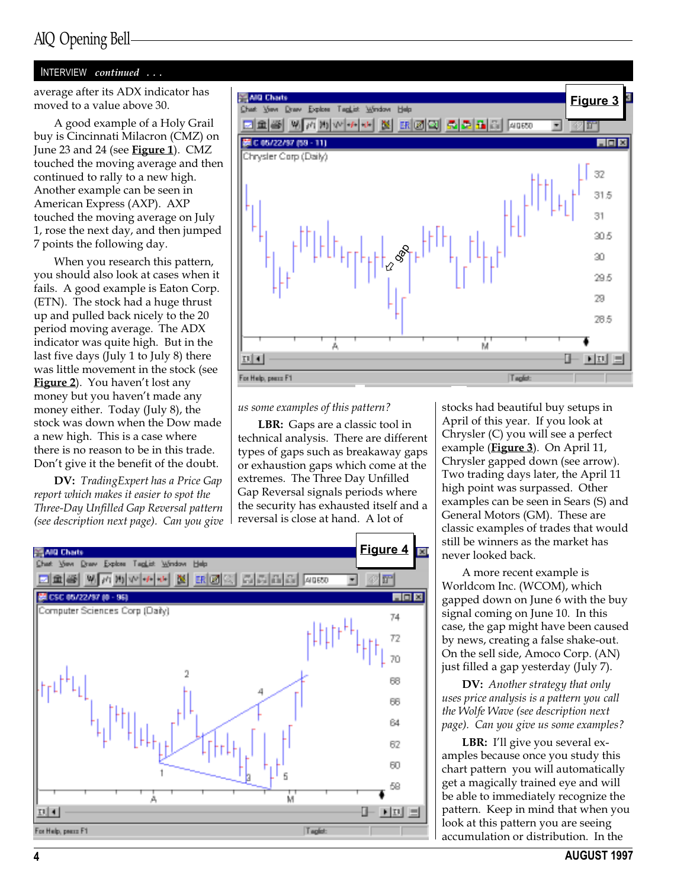#### INTERVIEW continued . . .

moved to a value above 30.

A good example of a Holy Grail buy is Cincinnati Milacron (CMZ) on June 23 and 24 (see  $Figure 1$ ). CMZ touched the moving average and then continued to rally to a new high. Another example can be seen in American Express (AXP). AXP touched the moving average on July 1, rose the next day, and then jumped 7 points the following day.

When you research this pattern, you should also look at cases when it fails. A good example is Eaton Corp. (ETN). The stock had a huge thrust up and pulled back nicely to the 20 period moving average. The ADX indicator was quite high. But in the last five days (July 1 to July 8) there was little movement in the stock (see Figure 2). You haven't lost any money but you haven't made any money either. Today (July 8), the stock was down when the Dow made a new high. This is a case where there is no reason to be in this trade. Don't give it the benefit of the doubt.

DV: TradingExpert has a Price Gap report which makes it easier to spot the Three-Day Unfilled Gap Reversal pattern (see description next page). Can you give



us some examples of this pattern?

LBR: Gaps are a classic tool in technical analysis. There are different types of gaps such as breakaway gaps or exhaustion gaps which come at the extremes. The Three Day Unfilled Gap Reversal signals periods where the security has exhausted itself and a reversal is close at hand. A lot of



stocks had beautiful buy setups in April of this year. If you look at Chrysler (C) you will see a perfect example (**Figure 3**). On April 11, Chrysler gapped down (see arrow). Two trading days later, the April 11 high point was surpassed. Other examples can be seen in Sears (S) and General Motors (GM). These are classic examples of trades that would still be winners as the market has never looked back.

A more recent example is Worldcom Inc. (WCOM), which gapped down on June 6 with the buy signal coming on June 10. In this case, the gap might have been caused by news, creating a false shake-out. On the sell side, Amoco Corp. (AN) just filled a gap yesterday (July 7).

DV: Another strategy that only uses price analysis is a pattern you call the Wolfe Wave (see description next page). Can you give us some examples?

LBR: I'll give you several examples because once you study this chart pattern you will automatically get a magically trained eye and will be able to immediately recognize the pattern. Keep in mind that when you look at this pattern you are seeing accumulation or distribution. In the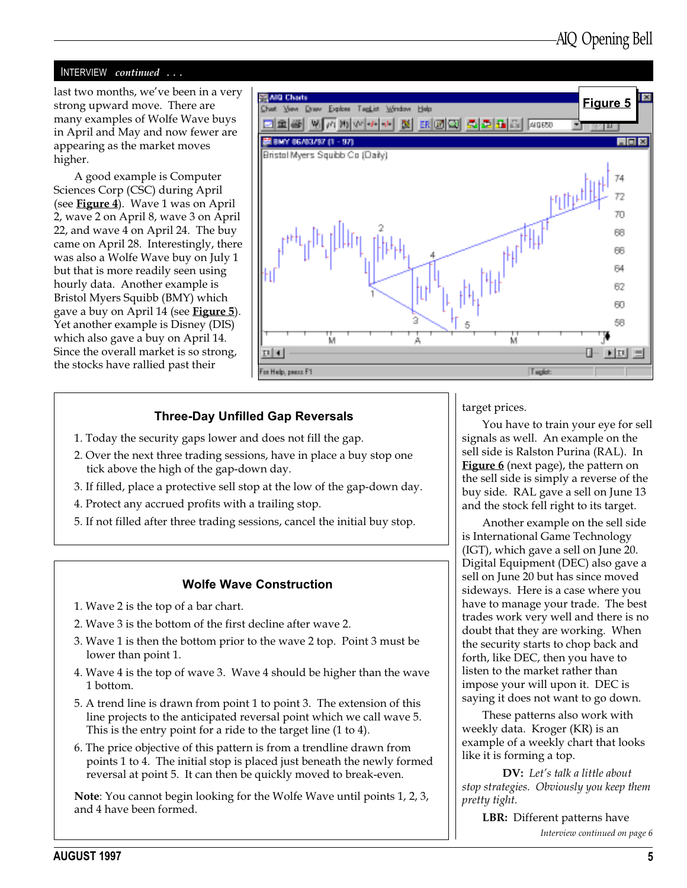#### INTERVIEW continued . . .

last two months, we've been in a very strong upward move. There are many examples of Wolfe Wave buys in April and May and now fewer are appearing as the market moves higher.

A good example is Computer Sciences Corp (CSC) during April (see **Figure 4**). Wave 1 was on April 2, wave 2 on April 8, wave 3 on April 22, and wave 4 on April 24. The buy came on April 28. Interestingly, there was also a Wolfe Wave buy on July 1 but that is more readily seen using hourly data. Another example is Bristol Myers Squibb (BMY) which gave a buy on April 14 (see **Figure 5**). Yet another example is Disney (DIS) which also gave a buy on April 14. Since the overall market is so strong, the stocks have rallied past their



#### Three-Day Unfilled Gap Reversals

- 1. Today the security gaps lower and does not fill the gap.
- 2. Over the next three trading sessions, have in place a buy stop one tick above the high of the gap-down day.
- 3. If filled, place a protective sell stop at the low of the gap-down day.
- 4. Protect any accrued profits with a trailing stop.
- 5. If not filled after three trading sessions, cancel the initial buy stop.

#### Wolfe Wave Construction

- 1. Wave 2 is the top of a bar chart.
- 2. Wave 3 is the bottom of the first decline after wave 2.
- 3. Wave 1 is then the bottom prior to the wave 2 top. Point 3 must be lower than point 1.
- 4. Wave 4 is the top of wave 3. Wave 4 should be higher than the wave 1 bottom.
- 5. A trend line is drawn from point 1 to point 3. The extension of this line projects to the anticipated reversal point which we call wave 5. This is the entry point for a ride to the target line (1 to 4).
- 6. The price objective of this pattern is from a trendline drawn from points 1 to 4. The initial stop is placed just beneath the newly formed reversal at point 5. It can then be quickly moved to break-even.

Note: You cannot begin looking for the Wolfe Wave until points 1, 2, 3, and 4 have been formed.

target prices.

You have to train your eye for sell signals as well. An example on the sell side is Ralston Purina (RAL). In **Figure 6** (next page), the pattern on the sell side is simply a reverse of the buy side. RAL gave a sell on June 13 and the stock fell right to its target.

Another example on the sell side is International Game Technology (IGT), which gave a sell on June 20. Digital Equipment (DEC) also gave a sell on June 20 but has since moved sideways. Here is a case where you have to manage your trade. The best trades work very well and there is no doubt that they are working. When the security starts to chop back and forth, like DEC, then you have to listen to the market rather than impose your will upon it. DEC is saying it does not want to go down.

These patterns also work with weekly data. Kroger (KR) is an example of a weekly chart that looks like it is forming a top.

DV: Let's talk a little about stop strategies. Obviously you keep them pretty tight.

> LBR: Different patterns have Interview continued on page 6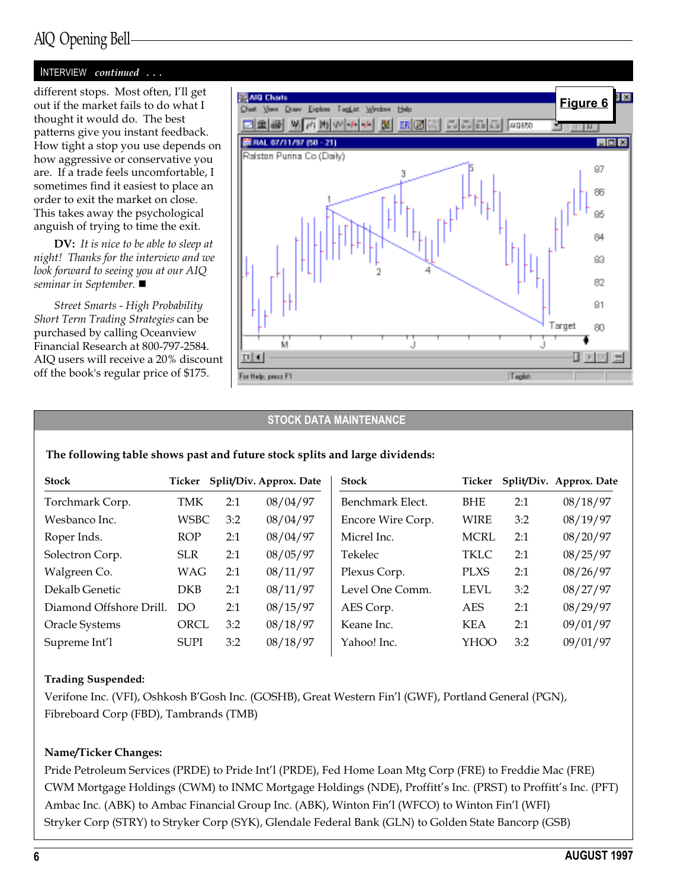#### INTERVIEW continued ...

different stops. Most often, I'll get out if the market fails to do what I thought it would do. The best patterns give you instant feedback. How tight a stop you use depends on how aggressive or conservative you are. If a trade feels uncomfortable, I sometimes find it easiest to place an order to exit the market on close. This takes away the psychological anguish of trying to time the exit.

DV: It is nice to be able to sleep at night! Thanks for the interview and we look forward to seeing you at our AIQ seminar in September.  $\blacksquare$ 

Street Smarts - High Probability Short Term Trading Strategies can be purchased by calling Oceanview Financial Research at 800-797-2584. AIQ users will receive a 20% discount off the book's regular price of \$175.



#### STOCK DATA MAINTENANCE

#### The following table shows past and future stock splits and large dividends:

| <b>Stock</b>            | Ticker      |     | Split/Div. Approx. Date | <b>Stock</b>      | Ticker      |     | Split/Div. Approx. Date |
|-------------------------|-------------|-----|-------------------------|-------------------|-------------|-----|-------------------------|
| Torchmark Corp.         | TMK         | 2:1 | 08/04/97                | Benchmark Elect.  | <b>BHE</b>  | 2:1 | 08/18/97                |
| Wesbanco Inc.           | <b>WSBC</b> | 3:2 | 08/04/97                | Encore Wire Corp. | <b>WIRE</b> | 3:2 | 08/19/97                |
| Roper Inds.             | <b>ROP</b>  | 2:1 | 08/04/97                | Micrel Inc.       | <b>MCRL</b> | 2:1 | 08/20/97                |
| Solectron Corp.         | <b>SLR</b>  | 2:1 | 08/05/97                | Tekelec           | <b>TKLC</b> | 2:1 | 08/25/97                |
| Walgreen Co.            | <b>WAG</b>  | 2:1 | 08/11/97                | Plexus Corp.      | <b>PLXS</b> | 2:1 | 08/26/97                |
| Dekalb Genetic          | <b>DKB</b>  | 2:1 | 08/11/97                | Level One Comm.   | <b>LEVL</b> | 3:2 | 08/27/97                |
| Diamond Offshore Drill. | DO          | 2:1 | 08/15/97                | AES Corp.         | AES         | 2:1 | 08/29/97                |
| Oracle Systems          | ORCL        | 3:2 | 08/18/97                | Keane Inc.        | <b>KEA</b>  | 2:1 | 09/01/97                |
| Supreme Int'l           | <b>SUPI</b> | 3:2 | 08/18/97                | Yahoo! Inc.       | YHOO        | 3:2 | 09/01/97                |

#### Trading Suspended:

Verifone Inc. (VFI), Oshkosh B'Gosh Inc. (GOSHB), Great Western Fin'l (GWF), Portland General (PGN), Fibreboard Corp (FBD), Tambrands (TMB)

#### Name/Ticker Changes:

Pride Petroleum Services (PRDE) to Pride Int'l (PRDE), Fed Home Loan Mtg Corp (FRE) to Freddie Mac (FRE) CWM Mortgage Holdings (CWM) to INMC Mortgage Holdings (NDE), Proffitt's Inc. (PRST) to Proffitt's Inc. (PFT) Ambac Inc. (ABK) to Ambac Financial Group Inc. (ABK), Winton Fin'l (WFCO) to Winton Fin'l (WFI) Stryker Corp (STRY) to Stryker Corp (SYK), Glendale Federal Bank (GLN) to Golden State Bancorp (GSB)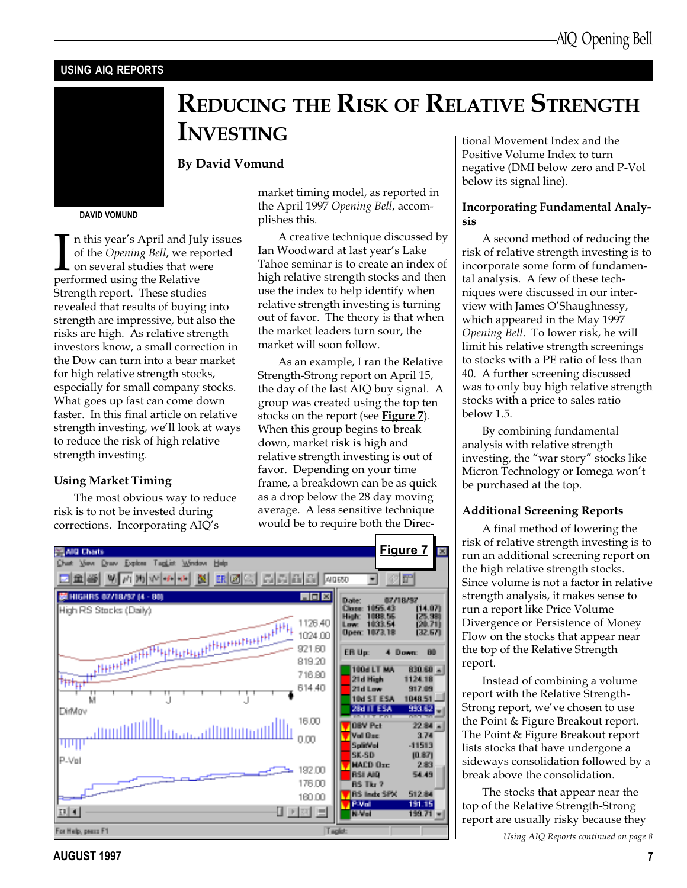#### USING AIQ REPORTS

## REDUCING THE RISK OF RELATIVE STRENGTH **INVESTING** tional Movement Index and the

#### By David Vomund

DAVID VOMUND

In this year's April and Ju<br>
of the *Opening Bell*, we re<br>
on several studies that we<br>
performed using the Relative n this year's April and July issues of the Opening Bell, we reported on several studies that were Strength report. These studies revealed that results of buying into strength are impressive, but also the risks are high. As relative strength investors know, a small correction in the Dow can turn into a bear market for high relative strength stocks, especially for small company stocks. What goes up fast can come down faster. In this final article on relative strength investing, we'll look at ways to reduce the risk of high relative strength investing.

#### Using Market Timing

The most obvious way to reduce risk is to not be invested during corrections. Incorporating AIQ's

market timing model, as reported in the April 1997 Opening Bell, accomplishes this.

A creative technique discussed by Ian Woodward at last year's Lake Tahoe seminar is to create an index of high relative strength stocks and then use the index to help identify when relative strength investing is turning out of favor. The theory is that when the market leaders turn sour, the market will soon follow.

As an example, I ran the Relative Strength-Strong report on April 15, the day of the last AIQ buy signal. A group was created using the top ten stocks on the report (see Figure 7). When this group begins to break down, market risk is high and relative strength investing is out of favor. Depending on your time frame, a breakdown can be as quick as a drop below the 28 day moving average. A less sensitive technique would be to require both the Direc-



Positive Volume Index to turn negative (DMI below zero and P-Vol below its signal line).

#### Incorporating Fundamental Analysis

A second method of reducing the risk of relative strength investing is to incorporate some form of fundamental analysis. A few of these techniques were discussed in our interview with James O'Shaughnessy, which appeared in the May 1997 Opening Bell. To lower risk, he will limit his relative strength screenings to stocks with a PE ratio of less than 40. A further screening discussed was to only buy high relative strength stocks with a price to sales ratio below 1.5.

By combining fundamental analysis with relative strength investing, the "war story" stocks like Micron Technology or Iomega won't be purchased at the top.

#### Additional Screening Reports

A final method of lowering the risk of relative strength investing is to run an additional screening report on the high relative strength stocks. Since volume is not a factor in relative strength analysis, it makes sense to run a report like Price Volume Divergence or Persistence of Money Flow on the stocks that appear near the top of the Relative Strength report.

Instead of combining a volume report with the Relative Strength-Strong report, we've chosen to use the Point & Figure Breakout report. The Point & Figure Breakout report lists stocks that have undergone a sideways consolidation followed by a break above the consolidation.

The stocks that appear near the top of the Relative Strength-Strong report are usually risky because they

Using AIQ Reports continued on page 8